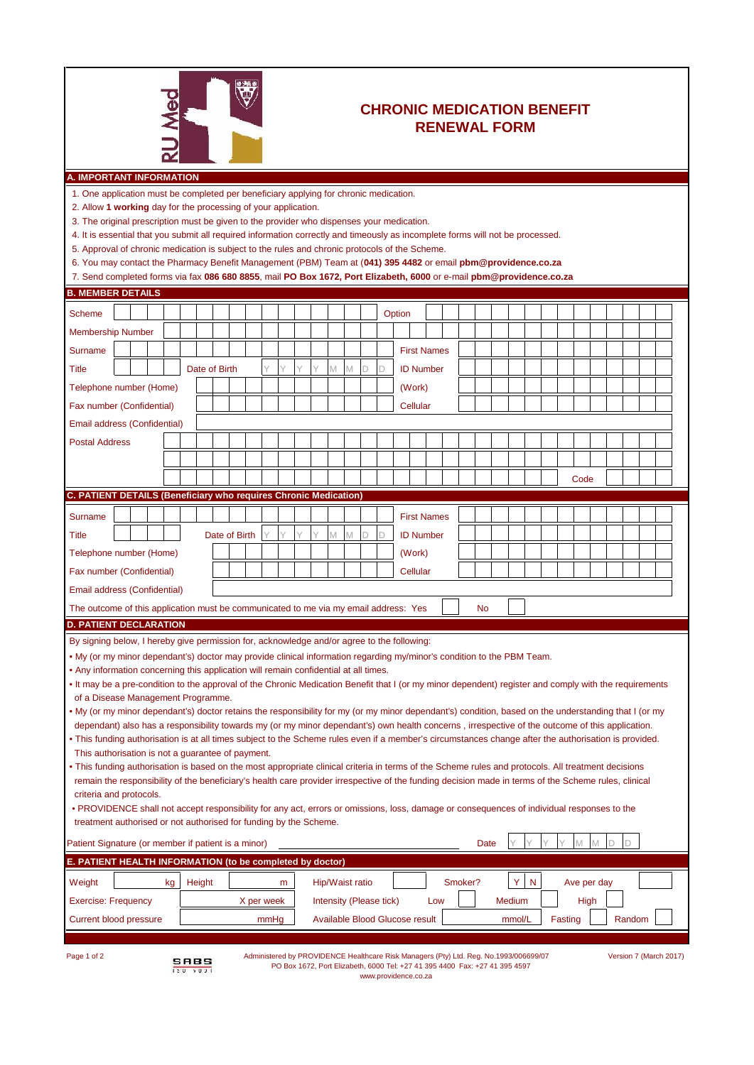

## **CHRONIC MEDICATION BENEFIT RENEWAL FORM**

| 1. One application must be completed per beneficiary applying for chronic medication.                |  |  |  |  |  |  |               |  |  |  |   |   |  |   |   |   |   |        |                    |  |
|------------------------------------------------------------------------------------------------------|--|--|--|--|--|--|---------------|--|--|--|---|---|--|---|---|---|---|--------|--------------------|--|
| 2. Allow 1 working day for the processing of your application.                                       |  |  |  |  |  |  |               |  |  |  |   |   |  |   |   |   |   |        |                    |  |
| 3. The original prescription must be given to the provider who dispenses your medication.            |  |  |  |  |  |  |               |  |  |  |   |   |  |   |   |   |   |        |                    |  |
| 4. It is essential that you submit all required information correctly and timeously as incomplete fo |  |  |  |  |  |  |               |  |  |  |   |   |  |   |   |   |   |        |                    |  |
| 5. Approval of chronic medication is subject to the rules and chronic protocols of the Scheme.       |  |  |  |  |  |  |               |  |  |  |   |   |  |   |   |   |   |        |                    |  |
| 6. You may contact the Pharmacy Benefit Management (PBM) Team at (041) 395 4482 or email             |  |  |  |  |  |  |               |  |  |  |   |   |  |   |   |   |   |        |                    |  |
| 7. Send completed forms via fax 086 680 8855, mail PO Box 1672, Port Elizabeth, 6000 or e-m          |  |  |  |  |  |  |               |  |  |  |   |   |  |   |   |   |   |        |                    |  |
| <b>B. MEMBER DETAILS</b>                                                                             |  |  |  |  |  |  |               |  |  |  |   |   |  |   |   |   |   |        |                    |  |
| <b>Scheme</b>                                                                                        |  |  |  |  |  |  |               |  |  |  |   |   |  |   |   |   |   | Option |                    |  |
| <b>Membership Number</b>                                                                             |  |  |  |  |  |  |               |  |  |  |   |   |  |   |   |   |   |        |                    |  |
| Surname                                                                                              |  |  |  |  |  |  |               |  |  |  |   |   |  |   |   |   |   |        | <b>First Names</b> |  |
|                                                                                                      |  |  |  |  |  |  |               |  |  |  |   |   |  |   |   |   |   |        |                    |  |
| Title                                                                                                |  |  |  |  |  |  | Date of Birth |  |  |  |   |   |  | M | M | D | D |        | <b>ID Number</b>   |  |
| Telephone number (Home)                                                                              |  |  |  |  |  |  |               |  |  |  |   |   |  |   |   |   |   |        | (Work)             |  |
| Fax number (Confidential)                                                                            |  |  |  |  |  |  |               |  |  |  |   |   |  |   |   |   |   |        | Cellular           |  |
| Email address (Confidential)                                                                         |  |  |  |  |  |  |               |  |  |  |   |   |  |   |   |   |   |        |                    |  |
| <b>Postal Address</b>                                                                                |  |  |  |  |  |  |               |  |  |  |   |   |  |   |   |   |   |        |                    |  |
|                                                                                                      |  |  |  |  |  |  |               |  |  |  |   |   |  |   |   |   |   |        |                    |  |
|                                                                                                      |  |  |  |  |  |  |               |  |  |  |   |   |  |   |   |   |   |        |                    |  |
|                                                                                                      |  |  |  |  |  |  |               |  |  |  |   |   |  |   |   |   |   |        |                    |  |
| <b>C. PATIENT DETAILS (Beneficiary who requires Chronic Medication)</b>                              |  |  |  |  |  |  |               |  |  |  |   |   |  |   |   |   |   |        |                    |  |
| Surname                                                                                              |  |  |  |  |  |  |               |  |  |  |   |   |  |   |   |   |   |        | <b>First Names</b> |  |
| Title                                                                                                |  |  |  |  |  |  | Date of Birth |  |  |  | V | Υ |  | M | M | D |   |        | <b>ID Number</b>   |  |
| Telephone number (Home)                                                                              |  |  |  |  |  |  |               |  |  |  |   |   |  |   |   |   |   |        | (Work)             |  |
|                                                                                                      |  |  |  |  |  |  |               |  |  |  |   |   |  |   |   |   |   |        |                    |  |

|  |  |  |  | 4. It is essential that you submit all required information correctly and timeously as incomplete form |
|--|--|--|--|--------------------------------------------------------------------------------------------------------|
|  |  |  |  |                                                                                                        |

| 4. It is essential that you submit all required information correctly and timeously as incomplete forms will not be processed.                                                                                                                                                                                                                                                                                                                                         |  |  |               |               |   |   |  |   |   |        |   |                    |  |  |    |  |  |      |  |  |  |
|------------------------------------------------------------------------------------------------------------------------------------------------------------------------------------------------------------------------------------------------------------------------------------------------------------------------------------------------------------------------------------------------------------------------------------------------------------------------|--|--|---------------|---------------|---|---|--|---|---|--------|---|--------------------|--|--|----|--|--|------|--|--|--|
| 5. Approval of chronic medication is subject to the rules and chronic protocols of the Scheme.                                                                                                                                                                                                                                                                                                                                                                         |  |  |               |               |   |   |  |   |   |        |   |                    |  |  |    |  |  |      |  |  |  |
| 6. You may contact the Pharmacy Benefit Management (PBM) Team at (041) 395 4482 or email pbm@providence.co.za                                                                                                                                                                                                                                                                                                                                                          |  |  |               |               |   |   |  |   |   |        |   |                    |  |  |    |  |  |      |  |  |  |
| 7. Send completed forms via fax 086 680 8855, mail PO Box 1672, Port Elizabeth, 6000 or e-mail pbm@providence.co.za<br><b>B. MEMBER DETAILS</b>                                                                                                                                                                                                                                                                                                                        |  |  |               |               |   |   |  |   |   |        |   |                    |  |  |    |  |  |      |  |  |  |
|                                                                                                                                                                                                                                                                                                                                                                                                                                                                        |  |  |               |               |   |   |  |   |   |        |   |                    |  |  |    |  |  |      |  |  |  |
| <b>Scheme</b>                                                                                                                                                                                                                                                                                                                                                                                                                                                          |  |  |               |               |   |   |  |   |   |        |   | Option             |  |  |    |  |  |      |  |  |  |
| <b>Membership Number</b>                                                                                                                                                                                                                                                                                                                                                                                                                                               |  |  |               |               |   |   |  |   |   |        |   |                    |  |  |    |  |  |      |  |  |  |
| <b>Surname</b>                                                                                                                                                                                                                                                                                                                                                                                                                                                         |  |  |               |               |   |   |  |   |   |        |   | <b>First Names</b> |  |  |    |  |  |      |  |  |  |
| <b>Title</b>                                                                                                                                                                                                                                                                                                                                                                                                                                                           |  |  | Date of Birth |               |   | Y |  | M | M | D      | D | <b>ID Number</b>   |  |  |    |  |  |      |  |  |  |
| Telephone number (Home)                                                                                                                                                                                                                                                                                                                                                                                                                                                |  |  |               |               |   |   |  |   |   | (Work) |   |                    |  |  |    |  |  |      |  |  |  |
| Fax number (Confidential)                                                                                                                                                                                                                                                                                                                                                                                                                                              |  |  |               |               |   |   |  |   |   |        |   | Cellular           |  |  |    |  |  |      |  |  |  |
| Email address (Confidential)                                                                                                                                                                                                                                                                                                                                                                                                                                           |  |  |               |               |   |   |  |   |   |        |   |                    |  |  |    |  |  |      |  |  |  |
| <b>Postal Address</b>                                                                                                                                                                                                                                                                                                                                                                                                                                                  |  |  |               |               |   |   |  |   |   |        |   |                    |  |  |    |  |  |      |  |  |  |
|                                                                                                                                                                                                                                                                                                                                                                                                                                                                        |  |  |               |               |   |   |  |   |   |        |   |                    |  |  |    |  |  |      |  |  |  |
|                                                                                                                                                                                                                                                                                                                                                                                                                                                                        |  |  |               |               |   |   |  |   |   |        |   |                    |  |  |    |  |  | Code |  |  |  |
| C. PATIENT DETAILS (Beneficiary who requires Chronic Medication)                                                                                                                                                                                                                                                                                                                                                                                                       |  |  |               |               |   |   |  |   |   |        |   |                    |  |  |    |  |  |      |  |  |  |
| <b>Surname</b>                                                                                                                                                                                                                                                                                                                                                                                                                                                         |  |  |               |               |   |   |  |   |   |        |   | <b>First Names</b> |  |  |    |  |  |      |  |  |  |
| <b>Title</b>                                                                                                                                                                                                                                                                                                                                                                                                                                                           |  |  |               | Date of Birth | Y | Y |  | M | M | D      | D | <b>ID Number</b>   |  |  |    |  |  |      |  |  |  |
| Telephone number (Home)                                                                                                                                                                                                                                                                                                                                                                                                                                                |  |  |               |               |   |   |  |   |   |        |   | (Work)             |  |  |    |  |  |      |  |  |  |
|                                                                                                                                                                                                                                                                                                                                                                                                                                                                        |  |  |               |               |   |   |  |   |   |        |   |                    |  |  |    |  |  |      |  |  |  |
| Fax number (Confidential)                                                                                                                                                                                                                                                                                                                                                                                                                                              |  |  |               |               |   |   |  |   |   |        |   | Cellular           |  |  |    |  |  |      |  |  |  |
| Email address (Confidential)                                                                                                                                                                                                                                                                                                                                                                                                                                           |  |  |               |               |   |   |  |   |   |        |   |                    |  |  |    |  |  |      |  |  |  |
| The outcome of this application must be communicated to me via my email address: Yes                                                                                                                                                                                                                                                                                                                                                                                   |  |  |               |               |   |   |  |   |   |        |   |                    |  |  | No |  |  |      |  |  |  |
|                                                                                                                                                                                                                                                                                                                                                                                                                                                                        |  |  |               |               |   |   |  |   |   |        |   |                    |  |  |    |  |  |      |  |  |  |
|                                                                                                                                                                                                                                                                                                                                                                                                                                                                        |  |  |               |               |   |   |  |   |   |        |   |                    |  |  |    |  |  |      |  |  |  |
|                                                                                                                                                                                                                                                                                                                                                                                                                                                                        |  |  |               |               |   |   |  |   |   |        |   |                    |  |  |    |  |  |      |  |  |  |
|                                                                                                                                                                                                                                                                                                                                                                                                                                                                        |  |  |               |               |   |   |  |   |   |        |   |                    |  |  |    |  |  |      |  |  |  |
| By signing below, I hereby give permission for, acknowledge and/or agree to the following:<br>. My (or my minor dependant's) doctor may provide clinical information regarding my/minor's condition to the PBM Team.<br>. Any information concerning this application will remain confidential at all times.<br>. It may be a pre-condition to the approval of the Chronic Medication Benefit that I (or my minor dependent) register and comply with the requirements |  |  |               |               |   |   |  |   |   |        |   |                    |  |  |    |  |  |      |  |  |  |
| <b>D. PATIENT DECLARATION</b><br>of a Disease Management Programme.<br>. My (or my minor dependant's) doctor retains the responsibility for my (or my minor dependant's) condition, based on the understanding that I (or my                                                                                                                                                                                                                                           |  |  |               |               |   |   |  |   |   |        |   |                    |  |  |    |  |  |      |  |  |  |

- dependant) also has a responsibility towards my (or my minor dependant's) own health concerns , irrespective of the outcome of this application. • This funding authorisation is at all times subject to the Scheme rules even if a member's circumstances change after the authorisation is provided.
- This authorisation is not a guarantee of payment.
- This funding authorisation is based on the most appropriate clinical criteria in terms of the Scheme rules and protocols. All treatment decisions remain the responsibility of the beneficiary's health care provider irrespective of the funding decision made in terms of the Scheme rules, clinical criteria and protocols.
- PROVIDENCE shall not accept responsibility for any act, errors or omissions, loss, damage or consequences of individual responses to the treatment authorised or not authorised for funding by the Scheme.

| Patient Signature (or member if patient is a minor)       |            | $\vee$<br>$\sqrt{}$<br>Date                                    |
|-----------------------------------------------------------|------------|----------------------------------------------------------------|
| E. PATIENT HEALTH INFORMATION (to be completed by doctor) |            |                                                                |
| Weight<br>Height<br>ka                                    | m          | YN<br>Hip/Waist ratio<br>Smoker?<br>Ave per day                |
| <b>Exercise: Frequency</b>                                | X per week | <b>High</b><br>Intensity (Please tick)<br><b>Medium</b><br>Low |
| Current blood pressure                                    | mmHq       | Available Blood Glucose result<br>Fasting<br>Random<br>mmol/L  |
|                                                           |            |                                                                |

| ⊷ |  |
|---|--|
|---|--|

Administered by PROVIDENCE Healthcare Risk Managers (Pty) Ltd. Reg. No.1993/006699/07 Version 7 (March 2017)<br>
PO Box 1672, Port Elizabeth, 6000 Tel: +27 41 395 4400 Fax: +27 41 395 4597 PO Box 1672, Port Elizabeth, 6000 Tel: +27 41 395 4400 Fax: +27 41 395 4597 www.providence.co.za